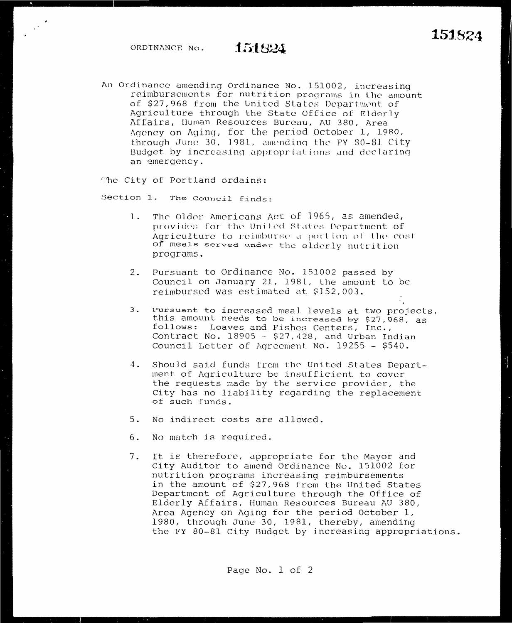$\beta^{\star}$ 

An Ordinance amending Ordinance No. 151002, increasing reimbursements for nutrition programs in the amount of \$27,968 from the United States Department of Agriculture through the State Office of Elderly Affairs, Human Resources Bureau, AU 380, Area Agency on Aging, for the period October 1, 1980, through June 30, 1981, amending the FY 80-81 City Budget by increasing appropriations and declaring an emergency.

The City of Portland ordains:

Section 1. The Council finds:

- 1. The Older Americans Act of 1965, as amended, provides for the United States Department of Agriculture to reimburse a portion of the cost of meals served under the elderly nutrition programs.
- 2. Pursuant to Ordinance No. 151002 passed by Council on January 21, 1981, the amount to be reimbursed was estimated at \$152,003.
- $3$ . Pursuant to increased meal levels at two projects, this amount needs to be increased by \$27,968, as<br>follows: Loaves and Fishes Centers, Inc., Contract No. 18905 - \$27,428, and Urban Indian Council Letter of Agreement No. 19255 - \$540.
- Should said funds from the United States Depart-4. ment of Agriculture be insufficient to cover the requests made by the service provider, the City has no liability regarding the replacement of such funds.
- 5. No indirect costs are allowed.
- $6.$ No match is required.
- 7. It is therefore, appropriate for the Mayor and City Auditor to amend Ordinance No. 151002 for nutrition programs increasing reimbursements in the amount of \$27,968 from the United States Department of Agriculture through the Office of Elderly Affairs, Human Resources Bureau AU 380, Area Agency on Aging for the period October 1, 1980, through June 30, 1981, thereby, amending the FY 80-81 City Budget by increasing appropriations.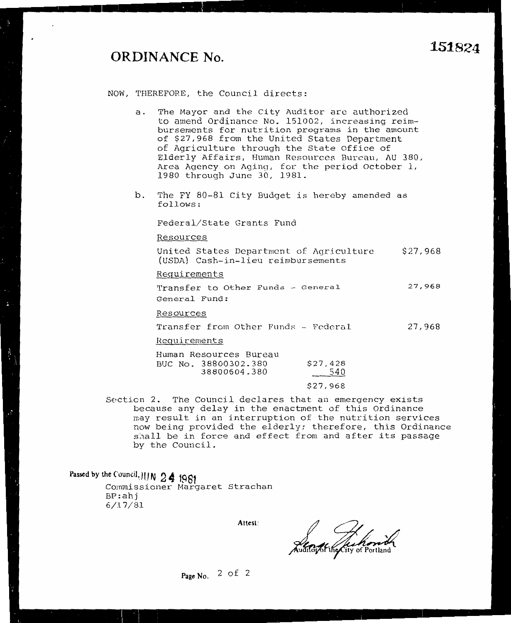## **ORDINANCE No.**

 $\bullet$ 

- a. The Mayor and the City Auditor are authorized to amend Ordinance No. 151002, increasing reimbursements for nutrition programs in the amount of \$27,968 from the United States Department of Agriculture through the State Office of Elderly Affairs, Human Resources Bureau, AU 380, Area Agency on Aging, for the period October 1, 1980 through June 30, 1981.
- b. The FY 80-81 City Budget is hereby amended as follows:

Federal/State Grants Fund

Resources

United States Department of Agriculture \$27,968 (USDA) Cash-in-lieu reimbursements

Requirements

Transfer to Other Funds - General General Fund: **27,968** 

Resources

Transfer from Other Funds - Federal 27,968

Reguirements

| Human Resources Bureau |          |
|------------------------|----------|
| BUC No. 38800302.380   | \$27,428 |
| 38800604.380           | 540      |
|                        |          |

- \$27,968
- Section 2. The Council declares that an emergency exists because any delay in the enactment of this Ordinance may result in an interruption of the nutrition services now being provided the elderly; therefore, this Ordinance shall be in force and effect from and after its passage by the Council.

**Passed by the Council, JUN 2 4 1981**<br>Commissioner Margaret Strachan BP:ahj 6/17/81

**Attest:** 

Auditor of the

**Page No.** 2 of 2